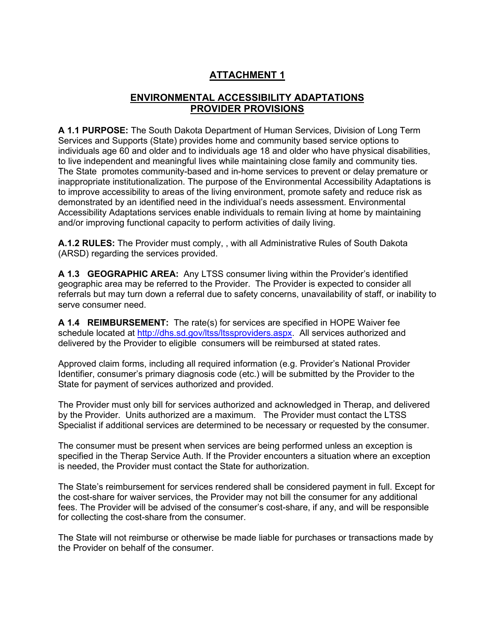# **ATTACHMENT 1**

# **ENVIRONMENTAL ACCESSIBILITY ADAPTATIONS PROVIDER PROVISIONS**

**A 1.1 PURPOSE:** The South Dakota Department of Human Services, Division of Long Term Services and Supports (State) provides home and community based service options to individuals age 60 and older and to individuals age 18 and older who have physical disabilities, to live independent and meaningful lives while maintaining close family and community ties. The State promotes community-based and in-home services to prevent or delay premature or inappropriate institutionalization. The purpose of the Environmental Accessibility Adaptations is to improve accessibility to areas of the living environment, promote safety and reduce risk as demonstrated by an identified need in the individual's needs assessment. Environmental Accessibility Adaptations services enable individuals to remain living at home by maintaining and/or improving functional capacity to perform activities of daily living.

**A.1.2 RULES:** The Provider must comply, , with all Administrative Rules of South Dakota (ARSD) regarding the services provided.

**A 1.3 GEOGRAPHIC AREA:** Any LTSS consumer living within the Provider's identified geographic area may be referred to the Provider. The Provider is expected to consider all referrals but may turn down a referral due to safety concerns, unavailability of staff, or inability to serve consumer need.

**A 1.4 REIMBURSEMENT:** The rate(s) for services are specified in HOPE Waiver fee schedule located at [http://dhs.sd.gov/ltss/ltssproviders.aspx.](http://dhs.sd.gov/ltss/ltssproviders.aspx) All services authorized and delivered by the Provider to eligible consumers will be reimbursed at stated rates.

Approved claim forms, including all required information (e.g. Provider's National Provider Identifier, consumer's primary diagnosis code (etc.) will be submitted by the Provider to the State for payment of services authorized and provided.

The Provider must only bill for services authorized and acknowledged in Therap, and delivered by the Provider. Units authorized are a maximum. The Provider must contact the LTSS Specialist if additional services are determined to be necessary or requested by the consumer.

The consumer must be present when services are being performed unless an exception is specified in the Therap Service Auth. If the Provider encounters a situation where an exception is needed, the Provider must contact the State for authorization.

The State's reimbursement for services rendered shall be considered payment in full. Except for the cost-share for waiver services, the Provider may not bill the consumer for any additional fees. The Provider will be advised of the consumer's cost-share, if any, and will be responsible for collecting the cost-share from the consumer.

The State will not reimburse or otherwise be made liable for purchases or transactions made by the Provider on behalf of the consumer.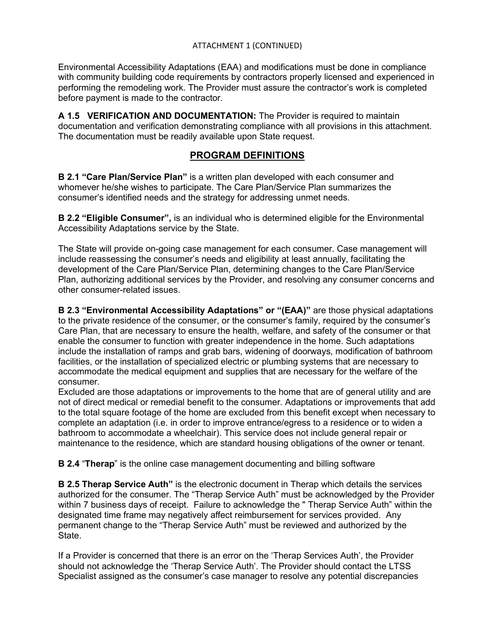Environmental Accessibility Adaptations (EAA) and modifications must be done in compliance with community building code requirements by contractors properly licensed and experienced in performing the remodeling work. The Provider must assure the contractor's work is completed before payment is made to the contractor.

**A 1.5 VERIFICATION AND DOCUMENTATION:** The Provider is required to maintain documentation and verification demonstrating compliance with all provisions in this attachment. The documentation must be readily available upon State request.

### **PROGRAM DEFINITIONS**

**B 2.1 "Care Plan/Service Plan"** is a written plan developed with each consumer and whomever he/she wishes to participate. The Care Plan/Service Plan summarizes the consumer's identified needs and the strategy for addressing unmet needs.

**B 2.2 "Eligible Consumer",** is an individual who is determined eligible for the Environmental Accessibility Adaptations service by the State.

The State will provide on-going case management for each consumer. Case management will include reassessing the consumer's needs and eligibility at least annually, facilitating the development of the Care Plan/Service Plan, determining changes to the Care Plan/Service Plan, authorizing additional services by the Provider, and resolving any consumer concerns and other consumer-related issues.

**B 2.3 "Environmental Accessibility Adaptations" or "(EAA)"** are those physical adaptations to the private residence of the consumer, or the consumer's family, required by the consumer's Care Plan, that are necessary to ensure the health, welfare, and safety of the consumer or that enable the consumer to function with greater independence in the home. Such adaptations include the installation of ramps and grab bars, widening of doorways, modification of bathroom facilities, or the installation of specialized electric or plumbing systems that are necessary to accommodate the medical equipment and supplies that are necessary for the welfare of the consumer.

Excluded are those adaptations or improvements to the home that are of general utility and are not of direct medical or remedial benefit to the consumer. Adaptations or improvements that add to the total square footage of the home are excluded from this benefit except when necessary to complete an adaptation (i.e. in order to improve entrance/egress to a residence or to widen a bathroom to accommodate a wheelchair). This service does not include general repair or maintenance to the residence, which are standard housing obligations of the owner or tenant.

**B 2.4** "**Therap**" is the online case management documenting and billing software

**B 2.5 Therap Service Auth"** is the electronic document in Therap which details the services authorized for the consumer. The "Therap Service Auth" must be acknowledged by the Provider within 7 business days of receipt. Failure to acknowledge the " Therap Service Auth" within the designated time frame may negatively affect reimbursement for services provided. Any permanent change to the "Therap Service Auth" must be reviewed and authorized by the State.

If a Provider is concerned that there is an error on the 'Therap Services Auth', the Provider should not acknowledge the 'Therap Service Auth'. The Provider should contact the LTSS Specialist assigned as the consumer's case manager to resolve any potential discrepancies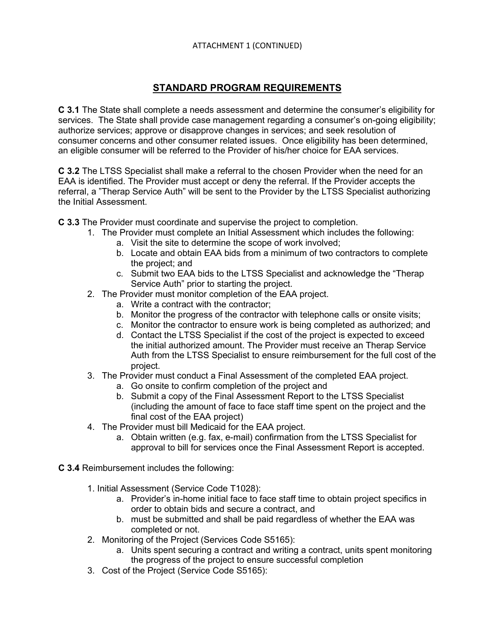# **STANDARD PROGRAM REQUIREMENTS**

**C 3.1** The State shall complete a needs assessment and determine the consumer's eligibility for services. The State shall provide case management regarding a consumer's on-going eligibility; authorize services; approve or disapprove changes in services; and seek resolution of consumer concerns and other consumer related issues. Once eligibility has been determined, an eligible consumer will be referred to the Provider of his/her choice for EAA services.

**C 3.2** The LTSS Specialist shall make a referral to the chosen Provider when the need for an EAA is identified. The Provider must accept or deny the referral. If the Provider accepts the referral, a "Therap Service Auth" will be sent to the Provider by the LTSS Specialist authorizing the Initial Assessment.

**C 3.3** The Provider must coordinate and supervise the project to completion.

- 1. The Provider must complete an Initial Assessment which includes the following:
	- a. Visit the site to determine the scope of work involved;
	- b. Locate and obtain EAA bids from a minimum of two contractors to complete the project; and
	- c. Submit two EAA bids to the LTSS Specialist and acknowledge the "Therap Service Auth" prior to starting the project.
- 2. The Provider must monitor completion of the EAA project.
	- a. Write a contract with the contractor;
	- b. Monitor the progress of the contractor with telephone calls or onsite visits;
	- c. Monitor the contractor to ensure work is being completed as authorized; and
	- d. Contact the LTSS Specialist if the cost of the project is expected to exceed the initial authorized amount. The Provider must receive an Therap Service Auth from the LTSS Specialist to ensure reimbursement for the full cost of the project.
- 3. The Provider must conduct a Final Assessment of the completed EAA project.
	- a. Go onsite to confirm completion of the project and
	- b. Submit a copy of the Final Assessment Report to the LTSS Specialist (including the amount of face to face staff time spent on the project and the final cost of the EAA project)
- 4. The Provider must bill Medicaid for the EAA project.
	- a. Obtain written (e.g. fax, e-mail) confirmation from the LTSS Specialist for approval to bill for services once the Final Assessment Report is accepted.
- **C 3.4** Reimbursement includes the following:
	- 1. Initial Assessment (Service Code T1028):
		- a. Provider's in-home initial face to face staff time to obtain project specifics in order to obtain bids and secure a contract, and
		- b. must be submitted and shall be paid regardless of whether the EAA was completed or not.
	- 2. Monitoring of the Project (Services Code S5165):
		- a. Units spent securing a contract and writing a contract, units spent monitoring the progress of the project to ensure successful completion
	- 3. Cost of the Project (Service Code S5165):